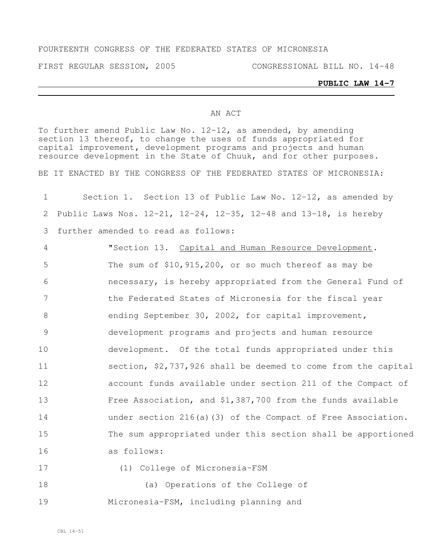#### FOURTEENTH CONGRESS OF THE FEDERATED STATES OF MICRONESIA

FIRST REGULAR SESSION, 2005 CONGRESSIONAL BILL NO. 14-48

#### **PUBLIC LAW 14-7**

#### AN ACT

To further amend Public Law No. 12-12, as amended, by amending section 13 thereof, to change the uses of funds appropriated for capital improvement, development programs and projects and human resource development in the State of Chuuk, and for other purposes.

BE IT ENACTED BY THE CONGRESS OF THE FEDERATED STATES OF MICRONESIA:

| 1      | Section 1. Section 13 of Public Law No. 12-12, as amended by                   |
|--------|--------------------------------------------------------------------------------|
| 2      | Public Laws Nos. $12-21$ , $12-24$ , $12-35$ , $12-48$ and $13-18$ , is hereby |
| 3      | further amended to read as follows:                                            |
| 4      | "Section 13. Capital and Human Resource Development.                           |
| 5      | The sum of $$10, 915, 200$ , or so much thereof as may be                      |
| 6      | necessary, is hereby appropriated from the General Fund of                     |
| 7      | the Federated States of Micronesia for the fiscal year                         |
| 8      | ending September 30, 2002, for capital improvement,                            |
| 9      | development programs and projects and human resource                           |
| 10     | development. Of the total funds appropriated under this                        |
| 11     | section, \$2,737,926 shall be deemed to come from the capital                  |
| 12     | account funds available under section 211 of the Compact of                    |
| 13     | Free Association, and \$1,387,700 from the funds available                     |
| 14     | under section $216(a)$ (3) of the Compact of Free Association.                 |
| 15     | The sum appropriated under this section shall be apportioned                   |
| 16     | as follows:                                                                    |
| 17     | (1) College of Micronesia-FSM                                                  |
| $\sim$ | $\sqrt{2}$                                                                     |

 (a) Operations of the College of Micronesia-FSM, including planning and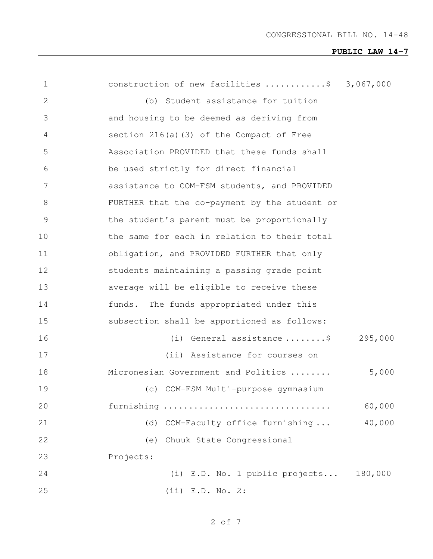| 1              | construction of new facilities \$             | 3,067,000 |
|----------------|-----------------------------------------------|-----------|
| $\overline{2}$ | (b) Student assistance for tuition            |           |
| 3              | and housing to be deemed as deriving from     |           |
| 4              | section $216(a)$ (3) of the Compact of Free   |           |
| 5              | Association PROVIDED that these funds shall   |           |
| 6              | be used strictly for direct financial         |           |
| 7              | assistance to COM-FSM students, and PROVIDED  |           |
| 8              | FURTHER that the co-payment by the student or |           |
| $\mathcal{G}$  | the student's parent must be proportionally   |           |
| 10             | the same for each in relation to their total  |           |
| 11             | obligation, and PROVIDED FURTHER that only    |           |
| 12             | students maintaining a passing grade point    |           |
| 13             | average will be eligible to receive these     |           |
| 14             | funds. The funds appropriated under this      |           |
| 15             | subsection shall be apportioned as follows:   |           |
| 16             | (i) General assistance $\ldots \ldots$ .\$    | 295,000   |
| 17             | (ii) Assistance for courses on                |           |
| 18             | Micronesian Government and Politics           | 5,000     |
| 19             | (c) COM-FSM Multi-purpose gymnasium           |           |
| 20             | furnishing                                    | 60,000    |
| 21             | COM-Faculty office furnishing<br>(d)          | 40,000    |
| 22             | Chuuk State Congressional<br>(e)              |           |
| 23             | Projects:                                     |           |
| 24             | (i) E.D. No. 1 public projects 180,000        |           |
| 25             | $(iii)$ E.D. No. 2:                           |           |

of 7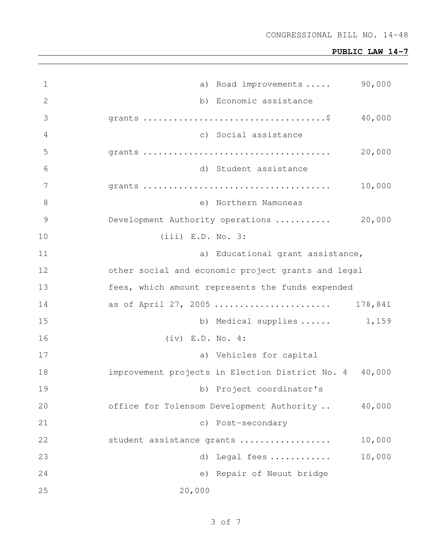| $\mathbf 1$   | 90,000<br>a) Road improvements                         |
|---------------|--------------------------------------------------------|
| $\mathbf{2}$  | b) Economic assistance                                 |
| 3             | 40,000                                                 |
| 4             | c) Social assistance                                   |
| 5             | 20,000                                                 |
| 6             | d) Student assistance                                  |
| 7             | 10,000                                                 |
| 8             | e) Northern Namoneas                                   |
| $\mathcal{G}$ | Development Authority operations<br>20,000             |
| 10            | $(iii)$ E.D. No. 3:                                    |
| 11            | a) Educational grant assistance,                       |
| 12            | other social and economic project grants and legal     |
| 13            | fees, which amount represents the funds expended       |
| 14            | as of April 27, 2005<br>178,841                        |
| 15            | b) Medical supplies $\ldots$ . 1,159                   |
| 16            | $(iv)$ E.D. No. 4:                                     |
| 17            | a) Vehicles for capital                                |
| 18            | improvement projects in Election District No. 4 40,000 |
| 19            | b) Project coordinator's                               |
| 20            | office for Tolensom Development Authority<br>40,000    |
| 21            | c) Post-secondary                                      |
| 22            | 10,000<br>student assistance grants                    |
| 23            | 10,000<br>Legal fees<br>d)                             |
| 24            | e) Repair of Neuut bridge                              |
| 25            | 20,000                                                 |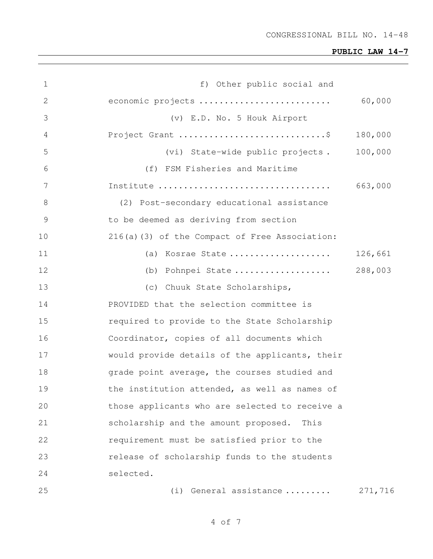| 1             | f) Other public social and                     |         |
|---------------|------------------------------------------------|---------|
| 2             | economic projects                              | 60,000  |
| 3             | (v) E.D. No. 5 Houk Airport                    |         |
| 4             | Project Grant \$                               | 180,000 |
| 5             | (vi) State-wide public projects.               | 100,000 |
| 6             | (f) FSM Fisheries and Maritime                 |         |
| 7             |                                                | 663,000 |
| 8             | (2) Post-secondary educational assistance      |         |
| $\mathcal{G}$ | to be deemed as deriving from section          |         |
| 10            | 216(a)(3) of the Compact of Free Association:  |         |
| 11            | (a) Kosrae State                               | 126,661 |
| 12            | (b) Pohnpei State                              | 288,003 |
| 13            | (c) Chuuk State Scholarships,                  |         |
| 14            | PROVIDED that the selection committee is       |         |
| 15            | required to provide to the State Scholarship   |         |
| 16            | Coordinator, copies of all documents which     |         |
| 17            | would provide details of the applicants, their |         |
| 18            | grade point average, the courses studied and   |         |
| 19            | the institution attended, as well as names of  |         |
| 20            | those applicants who are selected to receive a |         |
| 21            | scholarship and the amount proposed.<br>This   |         |
| 22            | requirement must be satisfied prior to the     |         |
| 23            | release of scholarship funds to the students   |         |
| 24            | selected.                                      |         |
| 25            | General assistance<br>(i)                      | 271,716 |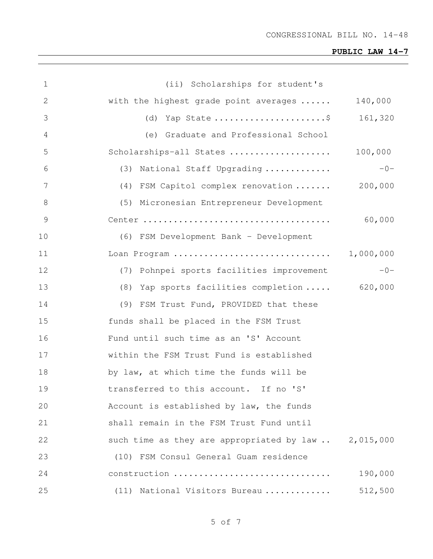| $\mathbf 1$    | (ii) Scholarships for student's                      |         |
|----------------|------------------------------------------------------|---------|
| 2              | with the highest grade point averages                | 140,000 |
| 3              | (d) Yap State \$                                     | 161,320 |
| $\overline{4}$ | (e) Graduate and Professional School                 |         |
| 5              | Scholarships-all States                              | 100,000 |
| 6              | (3) National Staff Upgrading                         | $-0-$   |
| 7              | (4) FSM Capitol complex renovation  200,000          |         |
| 8              | (5) Micronesian Entrepreneur Development             |         |
| 9              |                                                      | 60,000  |
| 10             | (6) FSM Development Bank - Development               |         |
| 11             |                                                      |         |
| 12             | (7) Pohnpei sports facilities improvement            | $-0-$   |
| 13             | (8) Yap sports facilities completion  620,000        |         |
| 14             | (9) FSM Trust Fund, PROVIDED that these              |         |
| 15             | funds shall be placed in the FSM Trust               |         |
| 16             | Fund until such time as an 'S' Account               |         |
| 17             | within the FSM Trust Fund is established             |         |
| 18             | by law, at which time the funds will be              |         |
| 19             | transferred to this account. If no 'S'               |         |
| 20             | Account is established by law, the funds             |         |
| 21             | shall remain in the FSM Trust Fund until             |         |
| 22             | such time as they are appropriated by law  2,015,000 |         |
| 23             | (10) FSM Consul General Guam residence               |         |
| 24             | construction                                         | 190,000 |
| 25             | (11) National Visitors Bureau                        | 512,500 |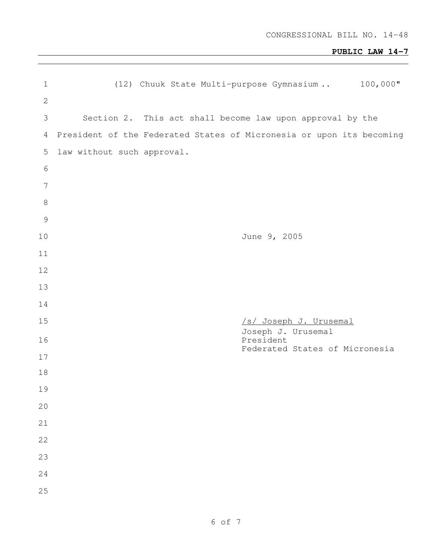| $\mathbf 1$    | $100,000$ "<br>(12) Chuuk State Multi-purpose Gymnasium              |
|----------------|----------------------------------------------------------------------|
| $\mathbf{2}$   |                                                                      |
| $\mathfrak{Z}$ | Section 2. This act shall become law upon approval by the            |
| $\overline{4}$ | President of the Federated States of Micronesia or upon its becoming |
| 5              | law without such approval.                                           |
| $\epsilon$     |                                                                      |
| $7\phantom{.}$ |                                                                      |
| $\,8\,$        |                                                                      |
| $\mathcal{G}$  |                                                                      |
| 10             | June 9, 2005                                                         |
| 11             |                                                                      |
| 12             |                                                                      |
| 13             |                                                                      |
| 14             |                                                                      |
| 15             | /s/ Joseph J. Urusemal<br>Joseph J. Urusemal                         |
| 16             | President<br>Federated States of Micronesia                          |
| 17             |                                                                      |
| 18             |                                                                      |
| 19             |                                                                      |
| 20             |                                                                      |
| 21             |                                                                      |
| 22             |                                                                      |
| 23             |                                                                      |
| 24             |                                                                      |
| 25             |                                                                      |